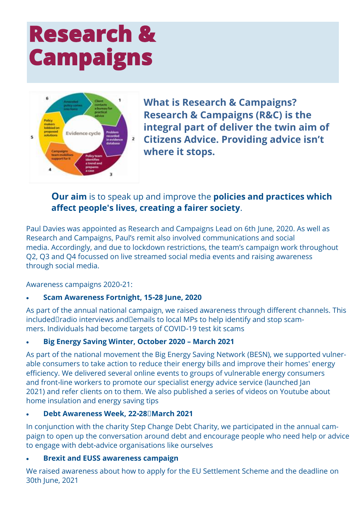# **Research & Campaigns**



**What is Research & Campaigns? Research & Campaigns (R&C) is the integral part of deliver the twin aim of Citizens Advice. Providing advice isn't where it stops.**

## **Our aim** is to speak up and improve the **policies and practices which affect people's lives, creating a fairer society**.

Paul Davies was appointed as Research and Campaigns Lead on 6th June, 2020. As well as Research and Campaigns, Paul's remit also involved communications and social media. Accordingly, and due to lockdown restrictions, the team's campaign work throughout Q2, Q3 and Q4 focussed on live streamed social media events and raising awareness through social media.

Awareness campaigns 2020-21:

### • **Scam Awareness Fortnight, 15-28 June, 2020**

As part of the annual national campaign, we raised awareness through different channels. This included radio interviews and emails to local MPs to help identify and stop scammers. Individuals had become targets of COVID-19 test kit scams

### • **Big Energy Saving Winter, October 2020 – March 2021**

As part of the national movement the Big Energy Saving Network (BESN), we supported vulnerable consumers to take action to reduce their energy bills and improve their homes' energy efficiency. We delivered several online events to groups of vulnerable energy consumers and front-line workers to promote our specialist energy advice service (launched Jan 2021) and refer clients on to them. We also published a series of videos on Youtube about home insulation and energy saving tips

### • **Debt Awareness Week, 22-28 March 2021**

In conjunction with the charity Step Change Debt Charity, we participated in the annual campaign to open up the conversation around debt and encourage people who need help or advice to engage with debt-advice organisations like ourselves

### • **Brexit and EUSS awareness campaign**

We raised awareness about how to apply for the EU Settlement Scheme and the deadline on 30th June, 2021